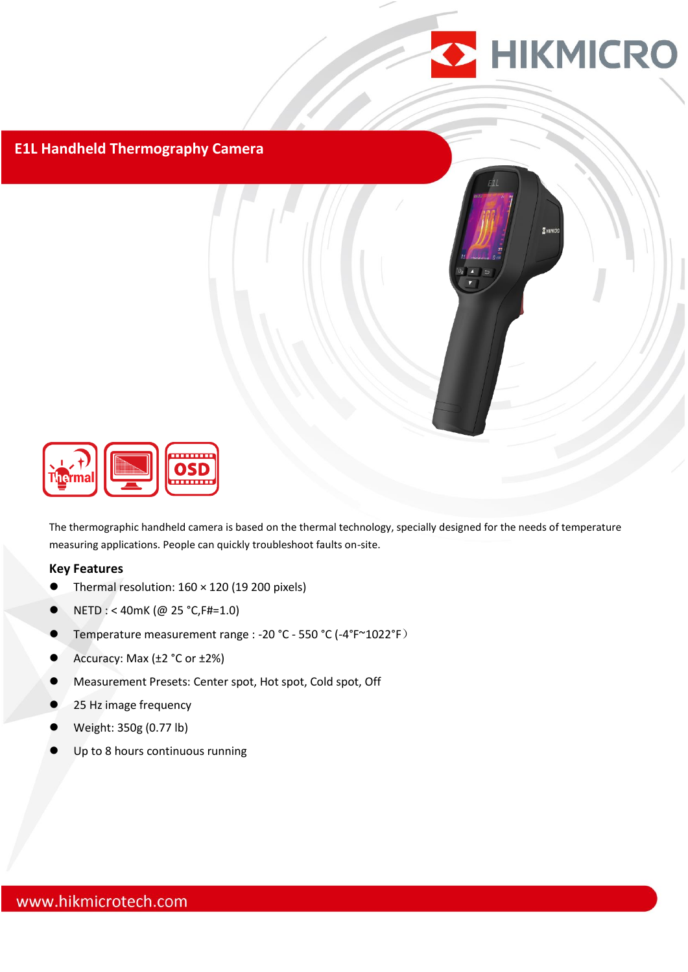

## **E1L Handheld Thermography Camera**



The thermographic handheld camera is based on the thermal technology, specially designed for the needs of temperature measuring applications. People can quickly troubleshoot faults on-site.

#### **Key Features**

- Thermal resolution: 160 × 120 (19 200 pixels)
- $\bullet$  NETD : < 40mK (@ 25 °C, F#=1.0)
- Temperature measurement range : -20 °C 550 °C (-4°F~1022°F)
- Accuracy: Max (±2 °C or ±2%)
- Measurement Presets: Center spot, Hot spot, Cold spot, Off
- 25 Hz image frequency
- Weight: 350g (0.77 lb)
- Up to 8 hours continuous running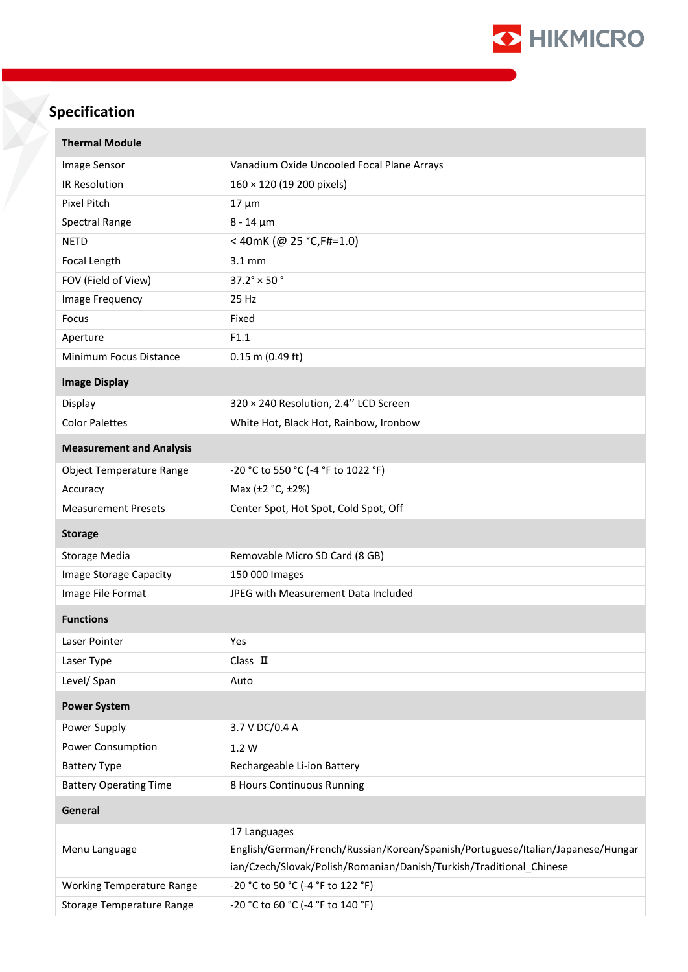

# **Specification**

| <b>Thermal Module</b>            |                                                                                                                                                                        |  |  |  |
|----------------------------------|------------------------------------------------------------------------------------------------------------------------------------------------------------------------|--|--|--|
| Image Sensor                     | Vanadium Oxide Uncooled Focal Plane Arrays                                                                                                                             |  |  |  |
| IR Resolution                    | $160 \times 120$ (19 200 pixels)                                                                                                                                       |  |  |  |
| Pixel Pitch                      | $17 \mu m$                                                                                                                                                             |  |  |  |
| Spectral Range                   | $8 - 14 \mu m$                                                                                                                                                         |  |  |  |
| <b>NETD</b>                      | <40mK (@ 25 °C, F#=1.0)                                                                                                                                                |  |  |  |
| Focal Length                     | $3.1 \text{ mm}$                                                                                                                                                       |  |  |  |
| FOV (Field of View)              | $37.2^\circ \times 50^\circ$                                                                                                                                           |  |  |  |
| Image Frequency                  | 25 Hz                                                                                                                                                                  |  |  |  |
| Focus                            | Fixed                                                                                                                                                                  |  |  |  |
| Aperture                         | F1.1                                                                                                                                                                   |  |  |  |
| Minimum Focus Distance           | $0.15$ m (0.49 ft)                                                                                                                                                     |  |  |  |
| <b>Image Display</b>             |                                                                                                                                                                        |  |  |  |
| Display                          | 320 × 240 Resolution, 2.4" LCD Screen                                                                                                                                  |  |  |  |
| <b>Color Palettes</b>            | White Hot, Black Hot, Rainbow, Ironbow                                                                                                                                 |  |  |  |
| <b>Measurement and Analysis</b>  |                                                                                                                                                                        |  |  |  |
| Object Temperature Range         | -20 °C to 550 °C (-4 °F to 1022 °F)                                                                                                                                    |  |  |  |
| Accuracy                         | Max (±2 °C, ±2%)                                                                                                                                                       |  |  |  |
| <b>Measurement Presets</b>       | Center Spot, Hot Spot, Cold Spot, Off                                                                                                                                  |  |  |  |
| <b>Storage</b>                   |                                                                                                                                                                        |  |  |  |
| <b>Storage Media</b>             | Removable Micro SD Card (8 GB)                                                                                                                                         |  |  |  |
| Image Storage Capacity           | 150 000 Images                                                                                                                                                         |  |  |  |
| Image File Format                | JPEG with Measurement Data Included                                                                                                                                    |  |  |  |
| <b>Functions</b>                 |                                                                                                                                                                        |  |  |  |
| Laser Pointer                    | Yes                                                                                                                                                                    |  |  |  |
| Laser Type                       | Class $\Pi$                                                                                                                                                            |  |  |  |
| Level/ Span                      | Auto                                                                                                                                                                   |  |  |  |
| <b>Power System</b>              |                                                                                                                                                                        |  |  |  |
| Power Supply                     | 3.7 V DC/0.4 A                                                                                                                                                         |  |  |  |
| Power Consumption                | 1.2 W                                                                                                                                                                  |  |  |  |
| <b>Battery Type</b>              | Rechargeable Li-ion Battery                                                                                                                                            |  |  |  |
| <b>Battery Operating Time</b>    | 8 Hours Continuous Running                                                                                                                                             |  |  |  |
| General                          |                                                                                                                                                                        |  |  |  |
| Menu Language                    | 17 Languages<br>English/German/French/Russian/Korean/Spanish/Portuguese/Italian/Japanese/Hungar<br>ian/Czech/Slovak/Polish/Romanian/Danish/Turkish/Traditional_Chinese |  |  |  |
| <b>Working Temperature Range</b> | -20 °C to 50 °C (-4 °F to 122 °F)                                                                                                                                      |  |  |  |
| <b>Storage Temperature Range</b> | -20 °C to 60 °C (-4 °F to 140 °F)                                                                                                                                      |  |  |  |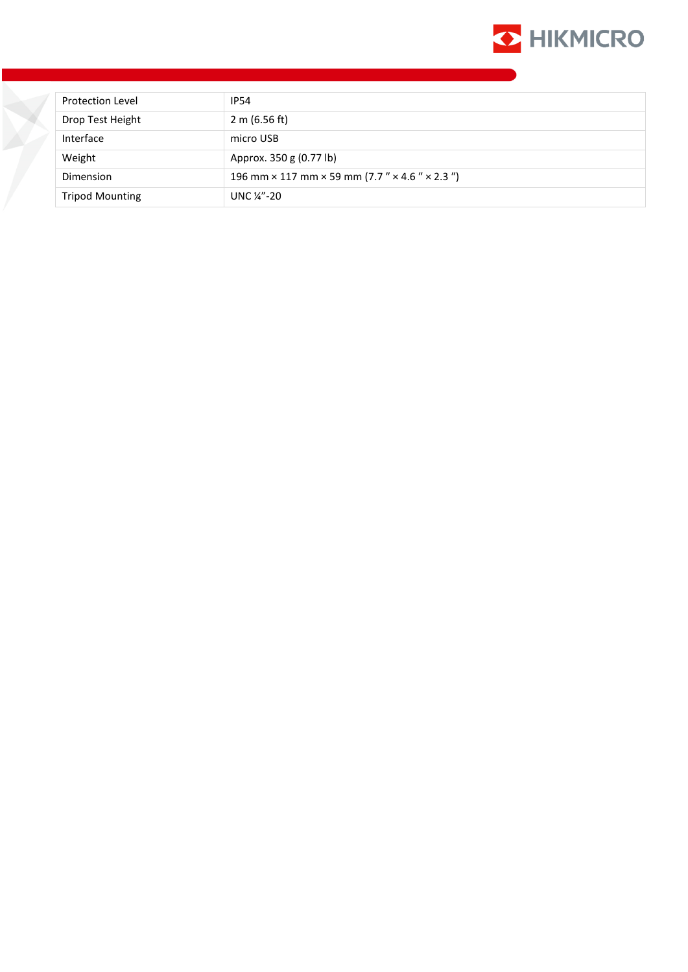

| <b>Protection Level</b> | <b>IP54</b>                                                                 |  |  |
|-------------------------|-----------------------------------------------------------------------------|--|--|
| Drop Test Height        | 2 m $(6.56$ ft)                                                             |  |  |
| Interface               | micro USB                                                                   |  |  |
| Weight                  | Approx. 350 g (0.77 lb)                                                     |  |  |
| Dimension               | 196 mm $\times$ 117 mm $\times$ 59 mm (7.7 " $\times$ 4.6 " $\times$ 2.3 ") |  |  |
| <b>Tripod Mounting</b>  | UNC $\frac{1}{4}$ -20                                                       |  |  |

X